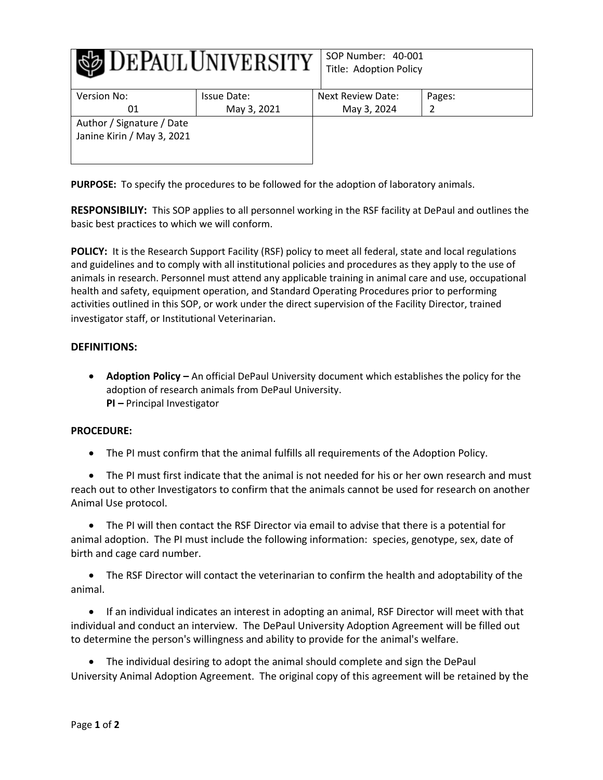| DEPAULUNIVERSITY           |             | SOP Number: 40-001<br>Title: Adoption Policy |        |
|----------------------------|-------------|----------------------------------------------|--------|
| Version No:                | Issue Date: | Next Review Date:                            | Pages: |
| 01                         | May 3, 2021 | May 3, 2024                                  |        |
| Author / Signature / Date  |             |                                              |        |
| Janine Kirin / May 3, 2021 |             |                                              |        |

**PURPOSE:** To specify the procedures to be followed for the adoption of laboratory animals.

**RESPONSIBILIY:** This SOP applies to all personnel working in the RSF facility at DePaul and outlines the basic best practices to which we will conform.

**POLICY:** It is the Research Support Facility (RSF) policy to meet all federal, state and local regulations and guidelines and to comply with all institutional policies and procedures as they apply to the use of animals in research. Personnel must attend any applicable training in animal care and use, occupational health and safety, equipment operation, and Standard Operating Procedures prior to performing activities outlined in this SOP, or work under the direct supervision of the Facility Director, trained investigator staff, or Institutional Veterinarian.

## **DEFINITIONS:**

 **Adoption Policy –** An official DePaul University document which establishes the policy for the adoption of research animals from DePaul University. **PI –** Principal Investigator

## **PROCEDURE:**

The PI must confirm that the animal fulfills all requirements of the Adoption Policy.

 The PI must first indicate that the animal is not needed for his or her own research and must reach out to other Investigators to confirm that the animals cannot be used for research on another Animal Use protocol.

 The PI will then contact the RSF Director via email to advise that there is a potential for animal adoption. The PI must include the following information: species, genotype, sex, date of birth and cage card number.

 The RSF Director will contact the veterinarian to confirm the health and adoptability of the animal.

 If an individual indicates an interest in adopting an animal, RSF Director will meet with that individual and conduct an interview. The DePaul University Adoption Agreement will be filled out to determine the person's willingness and ability to provide for the animal's welfare.

 The individual desiring to adopt the animal should complete and sign the DePaul University Animal Adoption Agreement. The original copy of this agreement will be retained by the